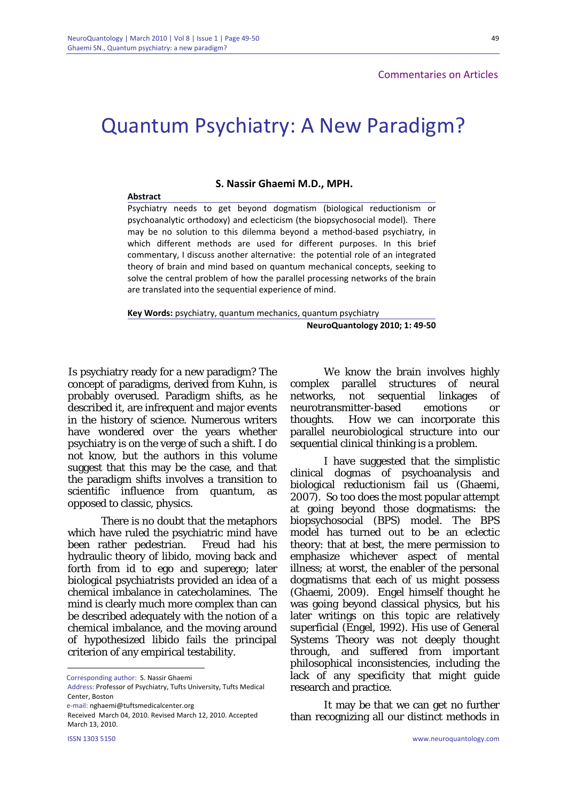**Abstract**

## **Commentaries on Articles**

## Quantum Psychiatry: A New Paradigm?

**S. Nassir Ghaemi M.D., MPH.**

Psychiatry needs to get beyond dogmatism (biological reductionism or psychoanalytic orthodoxy) and eclecticism (the biopsychosocial model). There may be no solution to this dilemma beyond a method‐based psychiatry, in which different methods are used for different purposes. In this brief commentary, I discuss another alternative: the potential role of an integrated theory of brain and mind based on quantum mechanical concepts, seeking to solve the central problem of how the parallel processing networks of the brain are translated into the sequential experience of mind.

**Key Words:** psychiatry, quantum mechanics, quantum psychiatry **NeuroQuantology 2010; 1: 49‐50**

 Is psychiatry ready for a new paradigm? The concept of paradigms, derived from Kuhn, is probably overused. Paradigm shifts, as he described it, are infrequent and major events in the history of science. Numerous writers have wondered over the years whether psychiatry is on the verge of such a shift. I do not know, but the authors in this volume suggest that this may be the case, and that the paradigm shifts involves a transition to scientific influence from quantum, as opposed to classic, physics.

 There is no doubt that the metaphors which have ruled the psychiatric mind have been rather pedestrian. Freud had his hydraulic theory of libido, moving back and forth from id to ego and superego; later biological psychiatrists provided an idea of a chemical imbalance in catecholamines. The mind is clearly much more complex than can be described adequately with the notion of a chemical imbalance, and the moving around of hypothesized libido fails the principal criterion of any empirical testability.

ISSN 1303 5150 www.neuroquantology.com

<u>.</u>

 We know the brain involves highly complex parallel structures of neural networks, not sequential linkages of neurotransmitter-based emotions or thoughts. How we can incorporate this parallel neurobiological structure into our sequential clinical thinking is a problem.

I have suggested that the simplistic clinical dogmas of psychoanalysis and biological reductionism fail us (Ghaemi, 2007). So too does the most popular attempt at going beyond those dogmatisms: the biopsychosocial (BPS) model. The BPS model has turned out to be an eclectic theory: that at best, the mere permission to emphasize whichever aspect of mental illness; at worst, the enabler of the personal dogmatisms that each of us might possess (Ghaemi, 2009). Engel himself thought he was going beyond classical physics, but his later writings on this topic are relatively superficial (Engel, 1992). His use of General Systems Theory was not deeply thought through, and suffered from important philosophical inconsistencies, including the lack of any specificity that might guide research and practice.

 It may be that we can get no further than recognizing all our distinct methods in

Corresponding author: S. Nassir Ghaemi

Address: Professor of Psychiatry, Tufts University, Tufts Medical Center, Boston

e‐mail: nghaemi@tuftsmedicalcenter.org

Received March 04, 2010. Revised March 12, 2010. Accepted March 13, 2010.